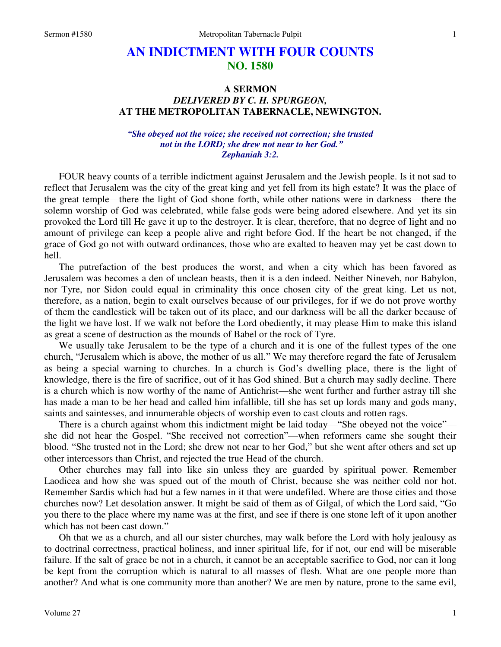# **AN INDICTMENT WITH FOUR COUNTS NO. 1580**

## **A SERMON**  *DELIVERED BY C. H. SPURGEON,*  **AT THE METROPOLITAN TABERNACLE, NEWINGTON.**

*"She obeyed not the voice; she received not correction; she trusted not in the LORD; she drew not near to her God." Zephaniah 3:2.* 

FOUR heavy counts of a terrible indictment against Jerusalem and the Jewish people. Is it not sad to reflect that Jerusalem was the city of the great king and yet fell from its high estate? It was the place of the great temple—there the light of God shone forth, while other nations were in darkness—there the solemn worship of God was celebrated, while false gods were being adored elsewhere. And yet its sin provoked the Lord till He gave it up to the destroyer. It is clear, therefore, that no degree of light and no amount of privilege can keep a people alive and right before God. If the heart be not changed, if the grace of God go not with outward ordinances, those who are exalted to heaven may yet be cast down to hell.

 The putrefaction of the best produces the worst, and when a city which has been favored as Jerusalem was becomes a den of unclean beasts, then it is a den indeed. Neither Nineveh, nor Babylon, nor Tyre, nor Sidon could equal in criminality this once chosen city of the great king. Let us not, therefore, as a nation, begin to exalt ourselves because of our privileges, for if we do not prove worthy of them the candlestick will be taken out of its place, and our darkness will be all the darker because of the light we have lost. If we walk not before the Lord obediently, it may please Him to make this island as great a scene of destruction as the mounds of Babel or the rock of Tyre.

 We usually take Jerusalem to be the type of a church and it is one of the fullest types of the one church, "Jerusalem which is above, the mother of us all." We may therefore regard the fate of Jerusalem as being a special warning to churches. In a church is God's dwelling place, there is the light of knowledge, there is the fire of sacrifice, out of it has God shined. But a church may sadly decline. There is a church which is now worthy of the name of Antichrist—she went further and further astray till she has made a man to be her head and called him infallible, till she has set up lords many and gods many, saints and saintesses, and innumerable objects of worship even to cast clouts and rotten rags.

There is a church against whom this indictment might be laid today—"She obeyed not the voice" she did not hear the Gospel. "She received not correction"—when reformers came she sought their blood. "She trusted not in the Lord; she drew not near to her God," but she went after others and set up other intercessors than Christ, and rejected the true Head of the church.

 Other churches may fall into like sin unless they are guarded by spiritual power. Remember Laodicea and how she was spued out of the mouth of Christ, because she was neither cold nor hot. Remember Sardis which had but a few names in it that were undefiled. Where are those cities and those churches now? Let desolation answer. It might be said of them as of Gilgal, of which the Lord said, "Go you there to the place where my name was at the first, and see if there is one stone left of it upon another which has not been cast down."

 Oh that we as a church, and all our sister churches, may walk before the Lord with holy jealousy as to doctrinal correctness, practical holiness, and inner spiritual life, for if not, our end will be miserable failure. If the salt of grace be not in a church, it cannot be an acceptable sacrifice to God, nor can it long be kept from the corruption which is natural to all masses of flesh. What are one people more than another? And what is one community more than another? We are men by nature, prone to the same evil,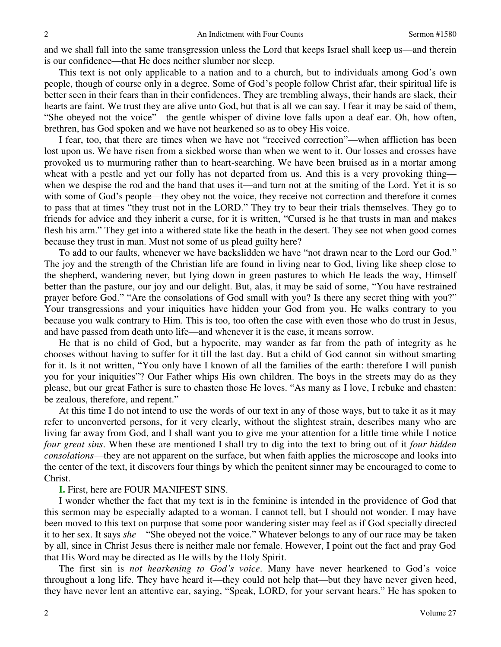and we shall fall into the same transgression unless the Lord that keeps Israel shall keep us—and therein is our confidence—that He does neither slumber nor sleep.

 This text is not only applicable to a nation and to a church, but to individuals among God's own people, though of course only in a degree. Some of God's people follow Christ afar, their spiritual life is better seen in their fears than in their confidences. They are trembling always, their hands are slack, their hearts are faint. We trust they are alive unto God, but that is all we can say. I fear it may be said of them, "She obeyed not the voice"—the gentle whisper of divine love falls upon a deaf ear. Oh, how often, brethren, has God spoken and we have not hearkened so as to obey His voice.

 I fear, too, that there are times when we have not "received correction"—when affliction has been lost upon us. We have risen from a sickbed worse than when we went to it. Our losses and crosses have provoked us to murmuring rather than to heart-searching. We have been bruised as in a mortar among wheat with a pestle and yet our folly has not departed from us. And this is a very provoking thing when we despise the rod and the hand that uses it—and turn not at the smiting of the Lord. Yet it is so with some of God's people—they obey not the voice, they receive not correction and therefore it comes to pass that at times "they trust not in the LORD." They try to bear their trials themselves. They go to friends for advice and they inherit a curse, for it is written, "Cursed is he that trusts in man and makes flesh his arm." They get into a withered state like the heath in the desert. They see not when good comes because they trust in man. Must not some of us plead guilty here?

 To add to our faults, whenever we have backslidden we have "not drawn near to the Lord our God." The joy and the strength of the Christian life are found in living near to God, living like sheep close to the shepherd, wandering never, but lying down in green pastures to which He leads the way, Himself better than the pasture, our joy and our delight. But, alas, it may be said of some, "You have restrained prayer before God." "Are the consolations of God small with you? Is there any secret thing with you?" Your transgressions and your iniquities have hidden your God from you. He walks contrary to you because you walk contrary to Him. This is too, too often the case with even those who do trust in Jesus, and have passed from death unto life—and whenever it is the case, it means sorrow.

 He that is no child of God, but a hypocrite, may wander as far from the path of integrity as he chooses without having to suffer for it till the last day. But a child of God cannot sin without smarting for it. Is it not written, "You only have I known of all the families of the earth: therefore I will punish you for your iniquities"? Our Father whips His own children. The boys in the streets may do as they please, but our great Father is sure to chasten those He loves. "As many as I love, I rebuke and chasten: be zealous, therefore, and repent."

 At this time I do not intend to use the words of our text in any of those ways, but to take it as it may refer to unconverted persons, for it very clearly, without the slightest strain, describes many who are living far away from God, and I shall want you to give me your attention for a little time while I notice *four great sins*. When these are mentioned I shall try to dig into the text to bring out of it *four hidden consolations*—they are not apparent on the surface, but when faith applies the microscope and looks into the center of the text, it discovers four things by which the penitent sinner may be encouraged to come to Christ.

### **I.** First, here are FOUR MANIFEST SINS.

 I wonder whether the fact that my text is in the feminine is intended in the providence of God that this sermon may be especially adapted to a woman. I cannot tell, but I should not wonder. I may have been moved to this text on purpose that some poor wandering sister may feel as if God specially directed it to her sex. It says *she*—"She obeyed not the voice." Whatever belongs to any of our race may be taken by all, since in Christ Jesus there is neither male nor female. However, I point out the fact and pray God that His Word may be directed as He wills by the Holy Spirit.

The first sin is *not hearkening to God's voice*. Many have never hearkened to God's voice throughout a long life. They have heard it—they could not help that—but they have never given heed, they have never lent an attentive ear, saying, "Speak, LORD, for your servant hears." He has spoken to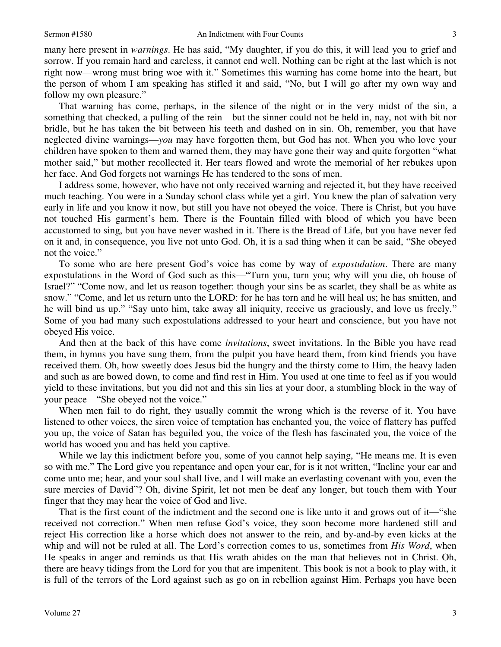many here present in *warnings*. He has said, "My daughter, if you do this, it will lead you to grief and sorrow. If you remain hard and careless, it cannot end well. Nothing can be right at the last which is not right now—wrong must bring woe with it." Sometimes this warning has come home into the heart, but the person of whom I am speaking has stifled it and said, "No, but I will go after my own way and follow my own pleasure."

 That warning has come, perhaps, in the silence of the night or in the very midst of the sin, a something that checked, a pulling of the rein—but the sinner could not be held in, nay, not with bit nor bridle, but he has taken the bit between his teeth and dashed on in sin. Oh, remember, you that have neglected divine warnings—*you* may have forgotten them, but God has not. When you who love your children have spoken to them and warned them, they may have gone their way and quite forgotten "what mother said," but mother recollected it. Her tears flowed and wrote the memorial of her rebukes upon her face. And God forgets not warnings He has tendered to the sons of men.

 I address some, however, who have not only received warning and rejected it, but they have received much teaching. You were in a Sunday school class while yet a girl. You knew the plan of salvation very early in life and you know it now, but still you have not obeyed the voice. There is Christ, but you have not touched His garment's hem. There is the Fountain filled with blood of which you have been accustomed to sing, but you have never washed in it. There is the Bread of Life, but you have never fed on it and, in consequence, you live not unto God. Oh, it is a sad thing when it can be said, "She obeyed not the voice."

 To some who are here present God's voice has come by way of *expostulation*. There are many expostulations in the Word of God such as this—"Turn you, turn you; why will you die, oh house of Israel?" "Come now, and let us reason together: though your sins be as scarlet, they shall be as white as snow." "Come, and let us return unto the LORD: for he has torn and he will heal us; he has smitten, and he will bind us up." "Say unto him, take away all iniquity, receive us graciously, and love us freely." Some of you had many such expostulations addressed to your heart and conscience, but you have not obeyed His voice.

 And then at the back of this have come *invitations*, sweet invitations. In the Bible you have read them, in hymns you have sung them, from the pulpit you have heard them, from kind friends you have received them. Oh, how sweetly does Jesus bid the hungry and the thirsty come to Him, the heavy laden and such as are bowed down, to come and find rest in Him. You used at one time to feel as if you would yield to these invitations, but you did not and this sin lies at your door, a stumbling block in the way of your peace—"She obeyed not the voice."

 When men fail to do right, they usually commit the wrong which is the reverse of it. You have listened to other voices, the siren voice of temptation has enchanted you, the voice of flattery has puffed you up, the voice of Satan has beguiled you, the voice of the flesh has fascinated you, the voice of the world has wooed you and has held you captive.

 While we lay this indictment before you, some of you cannot help saying, "He means me. It is even so with me." The Lord give you repentance and open your ear, for is it not written, "Incline your ear and come unto me; hear, and your soul shall live, and I will make an everlasting covenant with you, even the sure mercies of David"? Oh, divine Spirit, let not men be deaf any longer, but touch them with Your finger that they may hear the voice of God and live.

That is the first count of the indictment and the second one is like unto it and grows out of it—"she received not correction." When men refuse God's voice, they soon become more hardened still and reject His correction like a horse which does not answer to the rein, and by-and-by even kicks at the whip and will not be ruled at all. The Lord's correction comes to us, sometimes from *His Word*, when He speaks in anger and reminds us that His wrath abides on the man that believes not in Christ. Oh, there are heavy tidings from the Lord for you that are impenitent. This book is not a book to play with, it is full of the terrors of the Lord against such as go on in rebellion against Him. Perhaps you have been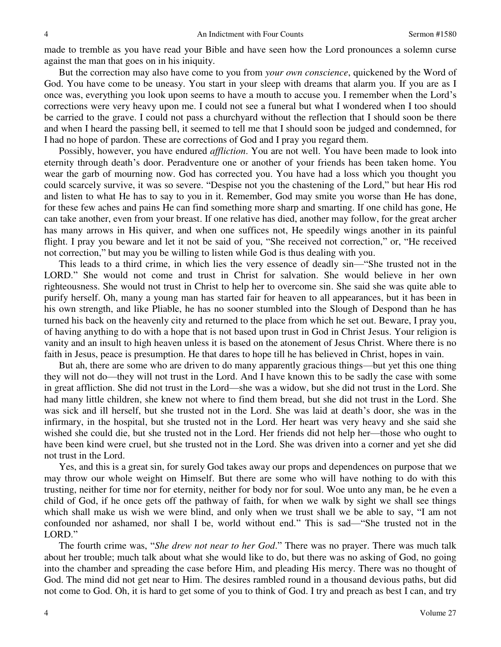made to tremble as you have read your Bible and have seen how the Lord pronounces a solemn curse against the man that goes on in his iniquity.

 But the correction may also have come to you from *your own conscience*, quickened by the Word of God. You have come to be uneasy. You start in your sleep with dreams that alarm you. If you are as I once was, everything you look upon seems to have a mouth to accuse you. I remember when the Lord's corrections were very heavy upon me. I could not see a funeral but what I wondered when I too should be carried to the grave. I could not pass a churchyard without the reflection that I should soon be there and when I heard the passing bell, it seemed to tell me that I should soon be judged and condemned, for I had no hope of pardon. These are corrections of God and I pray you regard them.

 Possibly, however, you have endured *affliction*. You are not well. You have been made to look into eternity through death's door. Peradventure one or another of your friends has been taken home. You wear the garb of mourning now. God has corrected you. You have had a loss which you thought you could scarcely survive, it was so severe. "Despise not you the chastening of the Lord," but hear His rod and listen to what He has to say to you in it. Remember, God may smite you worse than He has done, for these few aches and pains He can find something more sharp and smarting. If one child has gone, He can take another, even from your breast. If one relative has died, another may follow, for the great archer has many arrows in His quiver, and when one suffices not, He speedily wings another in its painful flight. I pray you beware and let it not be said of you, "She received not correction," or, "He received not correction," but may you be willing to listen while God is thus dealing with you.

 This leads to a third crime, in which lies the very essence of deadly sin—"She trusted not in the LORD." She would not come and trust in Christ for salvation. She would believe in her own righteousness. She would not trust in Christ to help her to overcome sin. She said she was quite able to purify herself. Oh, many a young man has started fair for heaven to all appearances, but it has been in his own strength, and like Pliable, he has no sooner stumbled into the Slough of Despond than he has turned his back on the heavenly city and returned to the place from which he set out. Beware, I pray you, of having anything to do with a hope that is not based upon trust in God in Christ Jesus. Your religion is vanity and an insult to high heaven unless it is based on the atonement of Jesus Christ. Where there is no faith in Jesus, peace is presumption. He that dares to hope till he has believed in Christ, hopes in vain.

 But ah, there are some who are driven to do many apparently gracious things—but yet this one thing they will not do—they will not trust in the Lord. And I have known this to be sadly the case with some in great affliction. She did not trust in the Lord—she was a widow, but she did not trust in the Lord. She had many little children, she knew not where to find them bread, but she did not trust in the Lord. She was sick and ill herself, but she trusted not in the Lord. She was laid at death's door, she was in the infirmary, in the hospital, but she trusted not in the Lord. Her heart was very heavy and she said she wished she could die, but she trusted not in the Lord. Her friends did not help her—those who ought to have been kind were cruel, but she trusted not in the Lord. She was driven into a corner and yet she did not trust in the Lord.

 Yes, and this is a great sin, for surely God takes away our props and dependences on purpose that we may throw our whole weight on Himself. But there are some who will have nothing to do with this trusting, neither for time nor for eternity, neither for body nor for soul. Woe unto any man, be he even a child of God, if he once gets off the pathway of faith, for when we walk by sight we shall see things which shall make us wish we were blind, and only when we trust shall we be able to say, "I am not confounded nor ashamed, nor shall I be, world without end." This is sad—"She trusted not in the LORD."

The fourth crime was, "*She drew not near to her God*." There was no prayer. There was much talk about her trouble; much talk about what she would like to do, but there was no asking of God, no going into the chamber and spreading the case before Him, and pleading His mercy. There was no thought of God. The mind did not get near to Him. The desires rambled round in a thousand devious paths, but did not come to God. Oh, it is hard to get some of you to think of God. I try and preach as best I can, and try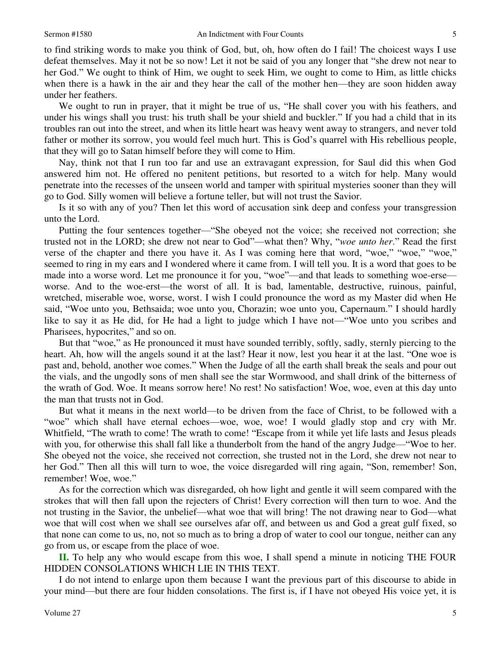to find striking words to make you think of God, but, oh, how often do I fail! The choicest ways I use defeat themselves. May it not be so now! Let it not be said of you any longer that "she drew not near to her God." We ought to think of Him, we ought to seek Him, we ought to come to Him, as little chicks when there is a hawk in the air and they hear the call of the mother hen—they are soon hidden away under her feathers.

 We ought to run in prayer, that it might be true of us, "He shall cover you with his feathers, and under his wings shall you trust: his truth shall be your shield and buckler." If you had a child that in its troubles ran out into the street, and when its little heart was heavy went away to strangers, and never told father or mother its sorrow, you would feel much hurt. This is God's quarrel with His rebellious people, that they will go to Satan himself before they will come to Him.

 Nay, think not that I run too far and use an extravagant expression, for Saul did this when God answered him not. He offered no penitent petitions, but resorted to a witch for help. Many would penetrate into the recesses of the unseen world and tamper with spiritual mysteries sooner than they will go to God. Silly women will believe a fortune teller, but will not trust the Savior.

 Is it so with any of you? Then let this word of accusation sink deep and confess your transgression unto the Lord.

 Putting the four sentences together—"She obeyed not the voice; she received not correction; she trusted not in the LORD; she drew not near to God"—what then? Why, "*woe unto her*." Read the first verse of the chapter and there you have it. As I was coming here that word, "woe," "woe," "woe," seemed to ring in my ears and I wondered where it came from. I will tell you. It is a word that goes to be made into a worse word. Let me pronounce it for you, "woe"—and that leads to something woe-erse worse. And to the woe-erst—the worst of all. It is bad, lamentable, destructive, ruinous, painful, wretched, miserable woe, worse, worst. I wish I could pronounce the word as my Master did when He said, "Woe unto you, Bethsaida; woe unto you, Chorazin; woe unto you, Capernaum." I should hardly like to say it as He did, for He had a light to judge which I have not—"Woe unto you scribes and Pharisees, hypocrites," and so on.

 But that "woe," as He pronounced it must have sounded terribly, softly, sadly, sternly piercing to the heart. Ah, how will the angels sound it at the last? Hear it now, lest you hear it at the last. "One woe is past and, behold, another woe comes." When the Judge of all the earth shall break the seals and pour out the vials, and the ungodly sons of men shall see the star Wormwood, and shall drink of the bitterness of the wrath of God. Woe. It means sorrow here! No rest! No satisfaction! Woe, woe, even at this day unto the man that trusts not in God.

 But what it means in the next world—to be driven from the face of Christ, to be followed with a "woe" which shall have eternal echoes—woe, woe, woe! I would gladly stop and cry with Mr. Whitfield, "The wrath to come! The wrath to come! "Escape from it while yet life lasts and Jesus pleads with you, for otherwise this shall fall like a thunderbolt from the hand of the angry Judge—"Woe to her. She obeyed not the voice, she received not correction, she trusted not in the Lord, she drew not near to her God." Then all this will turn to woe, the voice disregarded will ring again, "Son, remember! Son, remember! Woe, woe."

 As for the correction which was disregarded, oh how light and gentle it will seem compared with the strokes that will then fall upon the rejecters of Christ! Every correction will then turn to woe. And the not trusting in the Savior, the unbelief—what woe that will bring! The not drawing near to God—what woe that will cost when we shall see ourselves afar off, and between us and God a great gulf fixed, so that none can come to us, no, not so much as to bring a drop of water to cool our tongue, neither can any go from us, or escape from the place of woe.

**II.** To help any who would escape from this woe, I shall spend a minute in noticing THE FOUR HIDDEN CONSOLATIONS WHICH LIE IN THIS TEXT.

 I do not intend to enlarge upon them because I want the previous part of this discourse to abide in your mind—but there are four hidden consolations. The first is, if I have not obeyed His voice yet, it is